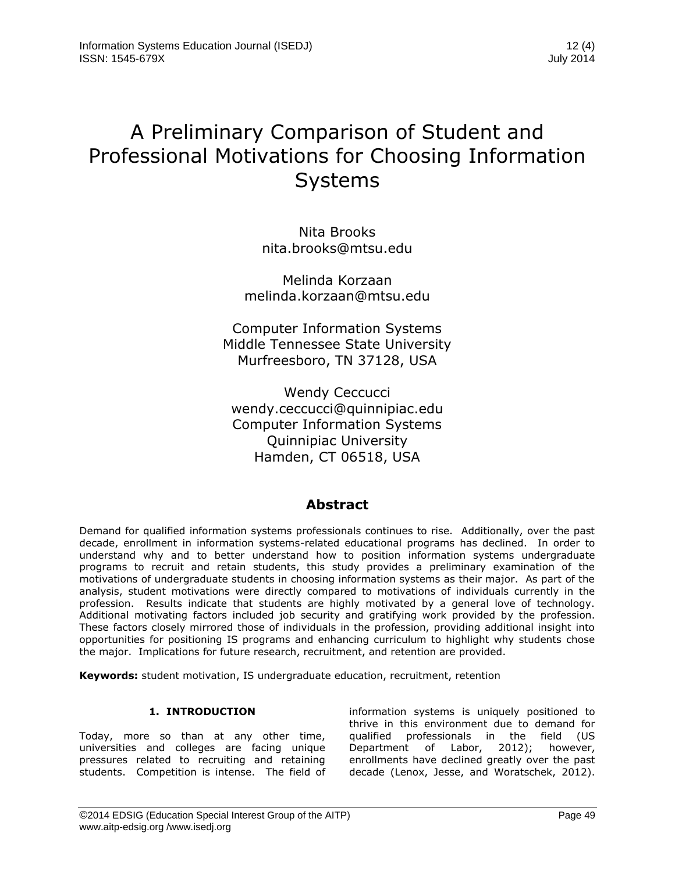# A Preliminary Comparison of Student and Professional Motivations for Choosing Information Systems

Nita Brooks nita.brooks@mtsu.edu

Melinda Korzaan melinda.korzaan@mtsu.edu

Computer Information Systems Middle Tennessee State University Murfreesboro, TN 37128, USA

Wendy Ceccucci wendy.ceccucci@quinnipiac.edu Computer Information Systems Quinnipiac University Hamden, CT 06518, USA

### **Abstract**

Demand for qualified information systems professionals continues to rise. Additionally, over the past decade, enrollment in information systems-related educational programs has declined. In order to understand why and to better understand how to position information systems undergraduate programs to recruit and retain students, this study provides a preliminary examination of the motivations of undergraduate students in choosing information systems as their major. As part of the analysis, student motivations were directly compared to motivations of individuals currently in the profession. Results indicate that students are highly motivated by a general love of technology. Additional motivating factors included job security and gratifying work provided by the profession. These factors closely mirrored those of individuals in the profession, providing additional insight into opportunities for positioning IS programs and enhancing curriculum to highlight why students chose the major. Implications for future research, recruitment, and retention are provided.

**Keywords:** student motivation, IS undergraduate education, recruitment, retention

#### **1. INTRODUCTION**

Today, more so than at any other time, universities and colleges are facing unique pressures related to recruiting and retaining students. Competition is intense. The field of

information systems is uniquely positioned to thrive in this environment due to demand for qualified professionals in the field (US Department of Labor, 2012); however, enrollments have declined greatly over the past decade (Lenox, Jesse, and Woratschek, 2012).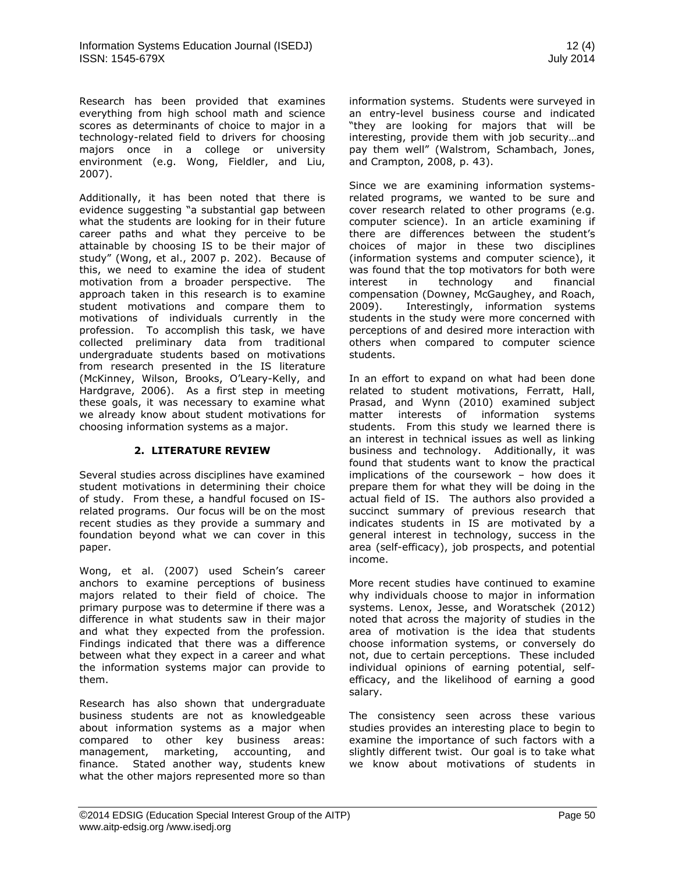Research has been provided that examines everything from high school math and science scores as determinants of choice to major in a technology-related field to drivers for choosing majors once in a college or university environment (e.g. Wong, Fieldler, and Liu, 2007).

Additionally, it has been noted that there is evidence suggesting "a substantial gap between what the students are looking for in their future career paths and what they perceive to be attainable by choosing IS to be their major of study" (Wong, et al., 2007 p. 202). Because of this, we need to examine the idea of student motivation from a broader perspective. The approach taken in this research is to examine student motivations and compare them to motivations of individuals currently in the profession. To accomplish this task, we have collected preliminary data from traditional undergraduate students based on motivations from research presented in the IS literature (McKinney, Wilson, Brooks, O'Leary-Kelly, and Hardgrave, 2006). As a first step in meeting these goals, it was necessary to examine what we already know about student motivations for choosing information systems as a major.

#### **2. LITERATURE REVIEW**

Several studies across disciplines have examined student motivations in determining their choice of study. From these, a handful focused on ISrelated programs. Our focus will be on the most recent studies as they provide a summary and foundation beyond what we can cover in this paper.

Wong, et al. (2007) used Schein's career anchors to examine perceptions of business majors related to their field of choice. The primary purpose was to determine if there was a difference in what students saw in their major and what they expected from the profession. Findings indicated that there was a difference between what they expect in a career and what the information systems major can provide to them.

Research has also shown that undergraduate business students are not as knowledgeable about information systems as a major when compared to other key business areas: management, marketing, accounting, and finance. Stated another way, students knew what the other majors represented more so than information systems. Students were surveyed in an entry-level business course and indicated "they are looking for majors that will be interesting, provide them with job security…and pay them well" (Walstrom, Schambach, Jones, and Crampton, 2008, p. 43).

Since we are examining information systemsrelated programs, we wanted to be sure and cover research related to other programs (e.g. computer science). In an article examining if there are differences between the student's choices of major in these two disciplines (information systems and computer science), it was found that the top motivators for both were interest in technology and financial compensation (Downey, McGaughey, and Roach, 2009). Interestingly, information systems students in the study were more concerned with perceptions of and desired more interaction with others when compared to computer science students.

In an effort to expand on what had been done related to student motivations, Ferratt, Hall, Prasad, and Wynn (2010) examined subject matter interests of information systems students. From this study we learned there is an interest in technical issues as well as linking business and technology. Additionally, it was found that students want to know the practical implications of the coursework – how does it prepare them for what they will be doing in the actual field of IS. The authors also provided a succinct summary of previous research that indicates students in IS are motivated by a general interest in technology, success in the area (self-efficacy), job prospects, and potential income.

More recent studies have continued to examine why individuals choose to major in information systems. Lenox, Jesse, and Woratschek (2012) noted that across the majority of studies in the area of motivation is the idea that students choose information systems, or conversely do not, due to certain perceptions. These included individual opinions of earning potential, selfefficacy, and the likelihood of earning a good salary.

The consistency seen across these various studies provides an interesting place to begin to examine the importance of such factors with a slightly different twist. Our goal is to take what we know about motivations of students in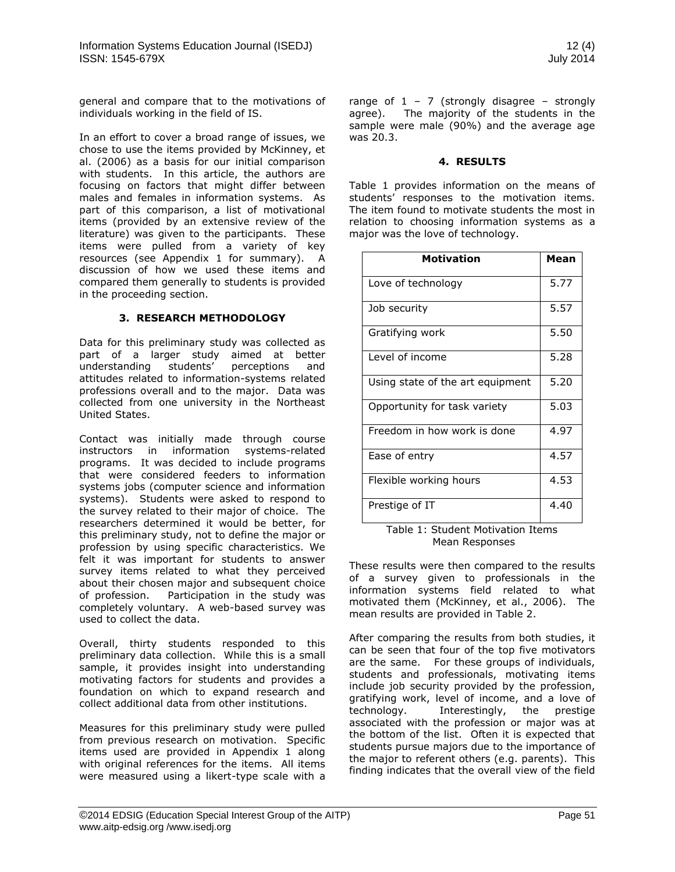general and compare that to the motivations of individuals working in the field of IS.

In an effort to cover a broad range of issues, we chose to use the items provided by McKinney, et al. (2006) as a basis for our initial comparison with students. In this article, the authors are focusing on factors that might differ between males and females in information systems. As part of this comparison, a list of motivational items (provided by an extensive review of the literature) was given to the participants. These items were pulled from a variety of key resources (see Appendix 1 for summary). A discussion of how we used these items and compared them generally to students is provided in the proceeding section.

#### **3. RESEARCH METHODOLOGY**

Data for this preliminary study was collected as part of a larger study aimed at better<br>understanding students' perceptions and understanding students' perceptions and attitudes related to information-systems related professions overall and to the major. Data was collected from one university in the Northeast United States.

Contact was initially made through course instructors in information systems-related programs. It was decided to include programs that were considered feeders to information systems jobs (computer science and information systems). Students were asked to respond to the survey related to their major of choice. The researchers determined it would be better, for this preliminary study, not to define the major or profession by using specific characteristics. We felt it was important for students to answer survey items related to what they perceived about their chosen major and subsequent choice of profession. Participation in the study was completely voluntary. A web-based survey was used to collect the data.

Overall, thirty students responded to this preliminary data collection. While this is a small sample, it provides insight into understanding motivating factors for students and provides a foundation on which to expand research and collect additional data from other institutions.

Measures for this preliminary study were pulled from previous research on motivation. Specific items used are provided in Appendix 1 along with original references for the items. All items were measured using a likert-type scale with a range of  $1 - 7$  (strongly disagree – strongly agree). The majority of the students in the sample were male (90%) and the average age was 20.3.

#### **4. RESULTS**

Table 1 provides information on the means of students' responses to the motivation items. The item found to motivate students the most in relation to choosing information systems as a major was the love of technology.

| <b>Motivation</b>                | Mean |
|----------------------------------|------|
| Love of technology               | 5.77 |
| Job security                     | 5.57 |
| Gratifying work                  | 5.50 |
| Level of income                  | 5.28 |
| Using state of the art equipment | 5.20 |
| Opportunity for task variety     | 5.03 |
| Freedom in how work is done      | 4.97 |
| Ease of entry                    | 4.57 |
| Flexible working hours           | 4.53 |
| Prestige of IT                   | 4.40 |

Table 1: Student Motivation Items Mean Responses

These results were then compared to the results of a survey given to professionals in the information systems field related to what motivated them (McKinney, et al., 2006). The mean results are provided in Table 2.

After comparing the results from both studies, it can be seen that four of the top five motivators are the same. For these groups of individuals, students and professionals, motivating items include job security provided by the profession, gratifying work, level of income, and a love of<br>technology. Interestingly, the prestige Interestingly, the associated with the profession or major was at the bottom of the list. Often it is expected that students pursue majors due to the importance of the major to referent others (e.g. parents). This finding indicates that the overall view of the field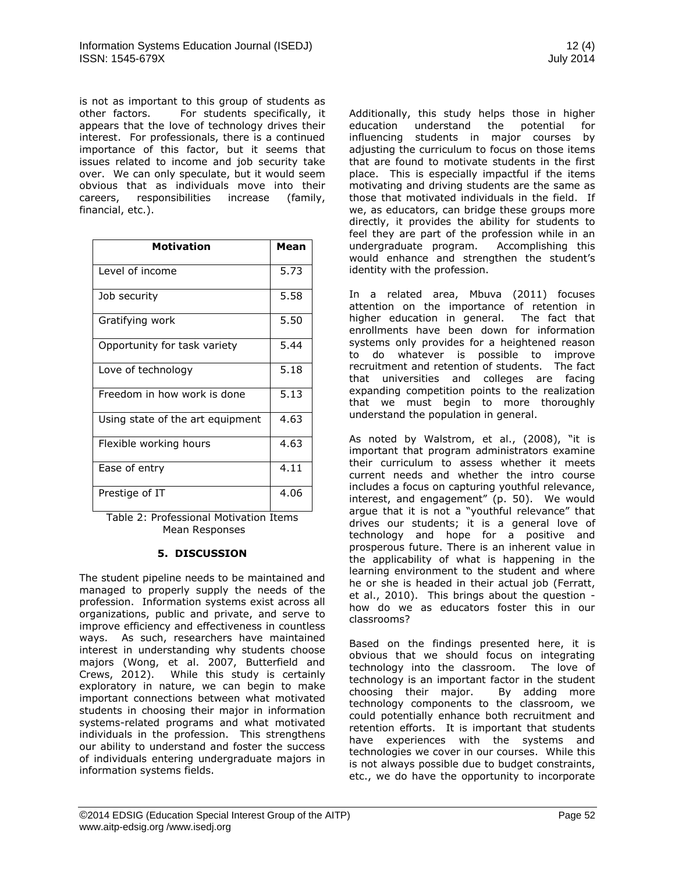is not as important to this group of students as other factors. For students specifically, it appears that the love of technology drives their interest. For professionals, there is a continued importance of this factor, but it seems that issues related to income and job security take over. We can only speculate, but it would seem obvious that as individuals move into their careers, responsibilities increase (family, financial, etc.).

| <b>Motivation</b>                | Mean |
|----------------------------------|------|
| Level of income                  | 5.73 |
| Job security                     | 5.58 |
| Gratifying work                  | 5.50 |
| Opportunity for task variety     | 5.44 |
| Love of technology               | 5.18 |
| Freedom in how work is done      | 5.13 |
| Using state of the art equipment | 4.63 |
| Flexible working hours           | 4.63 |
| Ease of entry                    | 4.11 |
| Prestige of IT                   | 4.06 |

Table 2: Professional Motivation Items Mean Responses

#### **5. DISCUSSION**

The student pipeline needs to be maintained and managed to properly supply the needs of the profession. Information systems exist across all organizations, public and private, and serve to improve efficiency and effectiveness in countless ways. As such, researchers have maintained interest in understanding why students choose majors (Wong, et al. 2007, Butterfield and Crews, 2012). While this study is certainly exploratory in nature, we can begin to make important connections between what motivated students in choosing their major in information systems-related programs and what motivated individuals in the profession. This strengthens our ability to understand and foster the success of individuals entering undergraduate majors in information systems fields.

Additionally, this study helps those in higher education understand the potential for influencing students in major courses by adjusting the curriculum to focus on those items that are found to motivate students in the first place. This is especially impactful if the items motivating and driving students are the same as those that motivated individuals in the field. If we, as educators, can bridge these groups more directly, it provides the ability for students to feel they are part of the profession while in an undergraduate program. Accomplishing this would enhance and strengthen the student's identity with the profession.

In a related area, Mbuva (2011) focuses attention on the importance of retention in higher education in general. The fact that enrollments have been down for information systems only provides for a heightened reason to do whatever is possible to improve recruitment and retention of students. The fact that universities and colleges are facing expanding competition points to the realization that we must begin to more thoroughly understand the population in general.

As noted by Walstrom, et al., (2008), "it is important that program administrators examine their curriculum to assess whether it meets current needs and whether the intro course includes a focus on capturing youthful relevance, interest, and engagement" (p. 50). We would argue that it is not a "youthful relevance" that drives our students; it is a general love of technology and hope for a positive and prosperous future. There is an inherent value in the applicability of what is happening in the learning environment to the student and where he or she is headed in their actual job (Ferratt, et al., 2010). This brings about the question how do we as educators foster this in our classrooms?

Based on the findings presented here, it is obvious that we should focus on integrating technology into the classroom. The love of technology is an important factor in the student choosing their major. By adding more technology components to the classroom, we could potentially enhance both recruitment and retention efforts. It is important that students have experiences with the systems and technologies we cover in our courses. While this is not always possible due to budget constraints, etc., we do have the opportunity to incorporate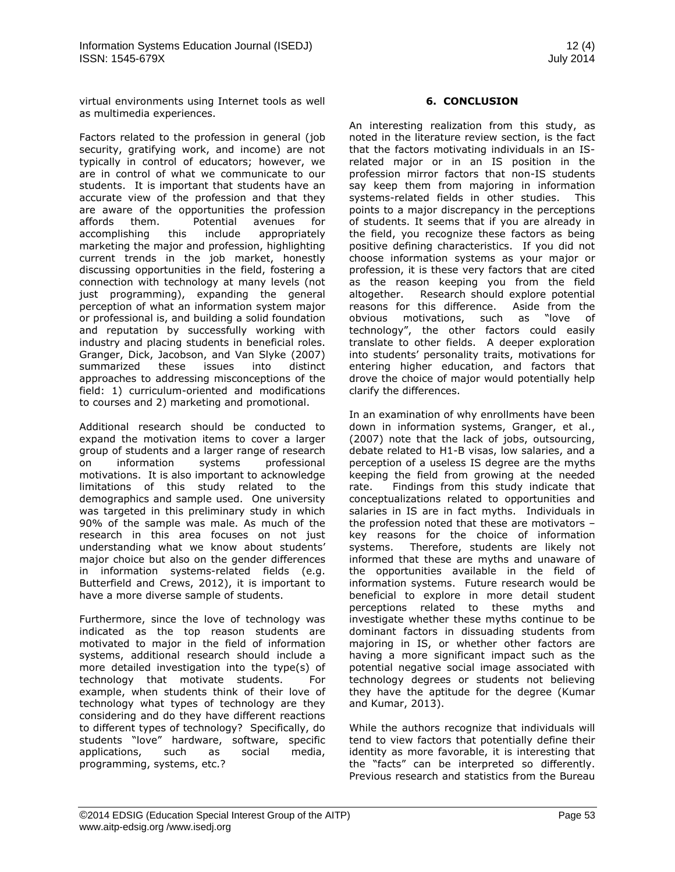virtual environments using Internet tools as well as multimedia experiences.

Factors related to the profession in general (job security, gratifying work, and income) are not typically in control of educators; however, we are in control of what we communicate to our students. It is important that students have an accurate view of the profession and that they are aware of the opportunities the profession affords them. Potential avenues for accomplishing this include appropriately marketing the major and profession, highlighting current trends in the job market, honestly discussing opportunities in the field, fostering a connection with technology at many levels (not just programming), expanding the general perception of what an information system major or professional is, and building a solid foundation and reputation by successfully working with industry and placing students in beneficial roles. Granger, Dick, Jacobson, and Van Slyke (2007) summarized these issues into distinct approaches to addressing misconceptions of the field: 1) curriculum-oriented and modifications to courses and 2) marketing and promotional.

Additional research should be conducted to expand the motivation items to cover a larger group of students and a larger range of research on information systems professional motivations. It is also important to acknowledge limitations of this study related to the demographics and sample used. One university was targeted in this preliminary study in which 90% of the sample was male. As much of the research in this area focuses on not just understanding what we know about students' major choice but also on the gender differences in information systems-related fields (e.g. Butterfield and Crews, 2012), it is important to have a more diverse sample of students.

Furthermore, since the love of technology was indicated as the top reason students are motivated to major in the field of information systems, additional research should include a more detailed investigation into the type(s) of technology that motivate students. For example, when students think of their love of technology what types of technology are they considering and do they have different reactions to different types of technology? Specifically, do students "love" hardware, software, specific applications, such as social media, programming, systems, etc.?

#### **6. CONCLUSION**

An interesting realization from this study, as noted in the literature review section, is the fact that the factors motivating individuals in an ISrelated major or in an IS position in the profession mirror factors that non-IS students say keep them from majoring in information systems-related fields in other studies. This points to a major discrepancy in the perceptions of students. It seems that if you are already in the field, you recognize these factors as being positive defining characteristics. If you did not choose information systems as your major or profession, it is these very factors that are cited as the reason keeping you from the field altogether. Research should explore potential reasons for this difference. Aside from the obvious motivations, such as "love of technology", the other factors could easily translate to other fields. A deeper exploration into students' personality traits, motivations for entering higher education, and factors that drove the choice of major would potentially help clarify the differences.

In an examination of why enrollments have been down in information systems, Granger, et al., (2007) note that the lack of jobs, outsourcing, debate related to H1-B visas, low salaries, and a perception of a useless IS degree are the myths keeping the field from growing at the needed rate. Findings from this study indicate that conceptualizations related to opportunities and salaries in IS are in fact myths. Individuals in the profession noted that these are motivators – key reasons for the choice of information systems. Therefore, students are likely not informed that these are myths and unaware of the opportunities available in the field of information systems. Future research would be beneficial to explore in more detail student perceptions related to these myths and investigate whether these myths continue to be dominant factors in dissuading students from majoring in IS, or whether other factors are having a more significant impact such as the potential negative social image associated with technology degrees or students not believing they have the aptitude for the degree (Kumar and Kumar, 2013).

While the authors recognize that individuals will tend to view factors that potentially define their identity as more favorable, it is interesting that the "facts" can be interpreted so differently. Previous research and statistics from the Bureau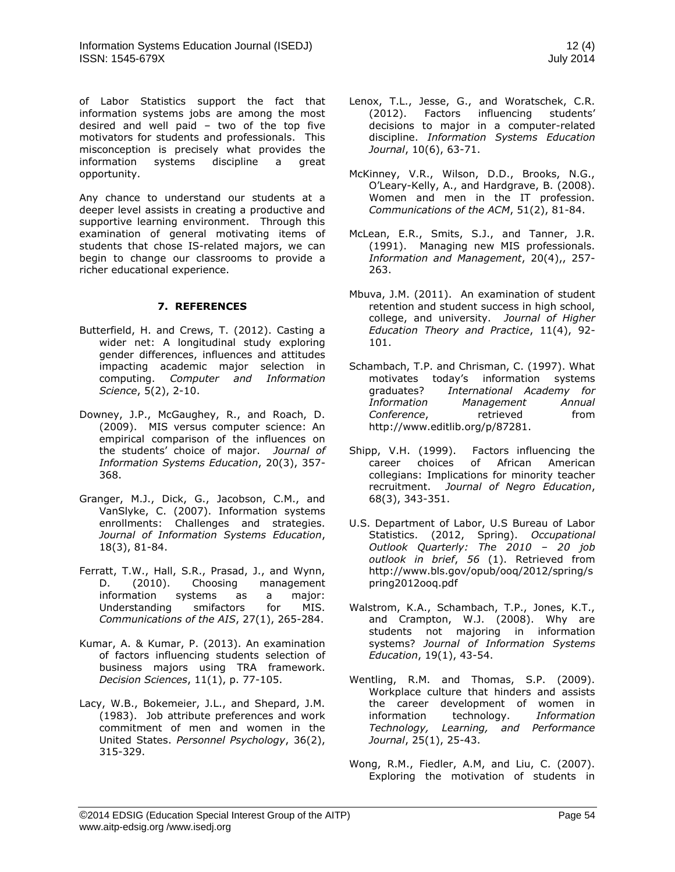of Labor Statistics support the fact that information systems jobs are among the most desired and well paid – two of the top five motivators for students and professionals. This misconception is precisely what provides the information systems discipline a great opportunity.

Any chance to understand our students at a deeper level assists in creating a productive and supportive learning environment. Through this examination of general motivating items of students that chose IS-related majors, we can begin to change our classrooms to provide a richer educational experience.

#### **7. REFERENCES**

- Butterfield, H. and Crews, T. (2012). Casting a wider net: A longitudinal study exploring gender differences, influences and attitudes impacting academic major selection in computing. *Computer and Information Science*, 5(2), 2-10.
- Downey, J.P., McGaughey, R., and Roach, D. (2009). MIS versus computer science: An empirical comparison of the influences on the students' choice of major. *Journal of Information Systems Education*, 20(3), 357- 368.
- Granger, M.J., Dick, G., Jacobson, C.M., and VanSlyke, C. (2007). Information systems enrollments: Challenges and strategies. *Journal of Information Systems Education*, 18(3), 81-84.
- Ferratt, T.W., Hall, S.R., Prasad, J., and Wynn, D. (2010). Choosing management information systems as a major: Understanding smifactors for MIS. *Communications of the AIS*, 27(1), 265-284.
- Kumar, A. & Kumar, P. (2013). An examination of factors influencing students selection of business majors using TRA framework. *Decision Sciences*, 11(1), p. 77-105.
- Lacy, W.B., Bokemeier, J.L., and Shepard, J.M. (1983). Job attribute preferences and work commitment of men and women in the United States. *Personnel Psychology*, 36(2), 315-329.
- Lenox, T.L., Jesse, G., and Woratschek, C.R. (2012). Factors influencing students' decisions to major in a computer-related discipline. *Information Systems Education Journal*, 10(6), 63-71.
- McKinney, V.R., Wilson, D.D., Brooks, N.G., O'Leary-Kelly, A., and Hardgrave, B. (2008). Women and men in the IT profession. *Communications of the ACM*, 51(2), 81-84.
- McLean, E.R., Smits, S.J., and Tanner, J.R. (1991). Managing new MIS professionals. *Information and Management*, 20(4),, 257- 263.
- Mbuva, J.M. (2011). An examination of student retention and student success in high school, college, and university. *Journal of Higher Education Theory and Practice*, 11(4), 92- 101.
- Schambach, T.P. and Chrisman, C. (1997). What motivates today's information systems graduates? *International Academy for Information Management Annual*  **Conference,** retrieved from http://www.editlib.org/p/87281.
- Shipp, V.H. (1999). Factors influencing the career choices of African American collegians: Implications for minority teacher recruitment. *Journal of Negro Education*, 68(3), 343-351.
- U.S. Department of Labor, U.S Bureau of Labor Statistics. (2012, Spring). *Occupational Outlook Quarterly: The 2010 – 20 job outlook in brief*, *56* (1). Retrieved from http://www.bls.gov/opub/ooq/2012/spring/s pring2012ooq.pdf
- Walstrom, K.A., Schambach, T.P., Jones, K.T., and Crampton, W.J. (2008). Why are students not majoring in information systems? *Journal of Information Systems Education*, 19(1), 43-54.
- Wentling, R.M. and Thomas, S.P. (2009). Workplace culture that hinders and assists the career development of women in information technology. *Information Technology, Learning, and Performance Journal*, 25(1), 25-43.
- Wong, R.M., Fiedler, A.M, and Liu, C. (2007). Exploring the motivation of students in